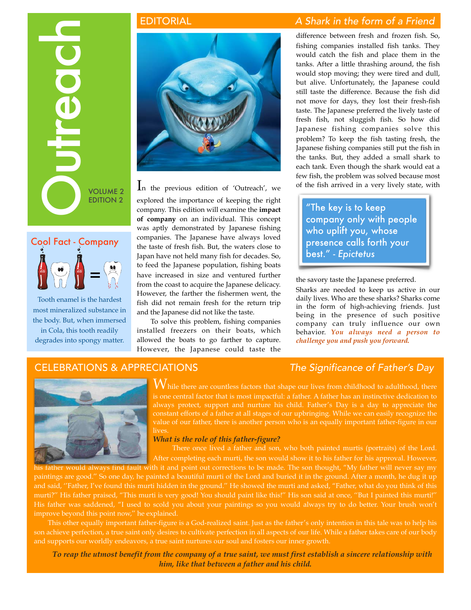# OUTREACH VOLUME 2

EDITION 2



Tooth enamel is the hardest most mineralized substance in the body. But, when immersed in Cola, this tooth readily degrades into spongy matter.



In the previous edition of 'Outreach', we explored the importance of keeping the right company. This edition will examine the **impact of company** on an individual. This concept was aptly demonstrated by Japanese fishing companies. The Japanese have always loved the taste of fresh fish. But, the waters close to Japan have not held many fish for decades. So, to feed the Japanese population, fishing boats have increased in size and ventured further from the coast to acquire the Japanese delicacy. However, the farther the fishermen went, the fish did not remain fresh for the return trip and the Japanese did not like the taste.

To solve this problem, fishing companies installed freezers on their boats, which allowed the boats to go farther to capture. However, the Japanese could taste the

# EDITORIAL *A Shark in the form of a Friend*

difference between fresh and frozen fish. So, fishing companies installed fish tanks. They would catch the fish and place them in the tanks. After a little thrashing around, the fish would stop moving; they were tired and dull, but alive. Unfortunately, the Japanese could still taste the difference. Because the fish did not move for days, they lost their fresh-fish taste. The Japanese preferred the lively taste of fresh fish, not sluggish fish. So how did Japanese fishing companies solve this problem? To keep the fish tasting fresh, the Japanese fishing companies still put the fish in the tanks. But, they added a small shark to each tank. Even though the shark would eat a few fish, the problem was solved because most of the fish arrived in a very lively state, with

"The key is to keep company only with people who uplift you, whose presence calls forth your best." - *Epictetus*

the savory taste the Japanese preferred.

Sharks are needed to keep us active in our daily lives. Who are these sharks? Sharks come in the form of high-achieving friends. Just being in the presence of such positive company can truly influence our own behavior. *You always need a person to challenge you and push you forward.*

# CELEBRATIONS & APPRECIATIONS *The Significance of Father's Day*



 $W$ hile there are countless factors that shape our lives from childhood to adulthood, there is one central factor that is most impactful: a father. A father has an instinctive dedication to always protect, support and nurture his child. Father's Day is a day to appreciate the constant efforts of a father at all stages of our upbringing. While we can easily recognize the value of our father, there is another person who is an equally important father-figure in our lives.

## *What is the role of this father-figure?*

 There once lived a father and son, who both painted murtis (portraits) of the Lord. After completing each murti, the son would show it to his father for his approval. However,

would always find fault with it and point out corrections to be made. The son thought, "My father will never say my paintings are good.'' So one day, he painted a beautiful murti of the Lord and buried it in the ground. After a month, he dug it up and said, ''Father, I've found this murti hidden in the ground.'' He showed the murti and asked, "Father, what do you think of this murti?'' His father praised, "This murti is very good! You should paint like this!'' His son said at once, ''But I painted this murti!'' His father was saddened, "I used to scold you about your paintings so you would always try to do better. Your brush won't improve beyond this point now,'' he explained.

This other equally important father-figure is a God-realized saint. Just as the father's only intention in this tale was to help his son achieve perfection, a true saint only desires to cultivate perfection in all aspects of our life. While a father takes care of our body and supports our worldly endeavors, a true saint nurtures our soul and fosters our inner growth.

*To reap the utmost benefit from the company of a true saint, we must first establish a sincere relationship with him, like that between a father and his child.*